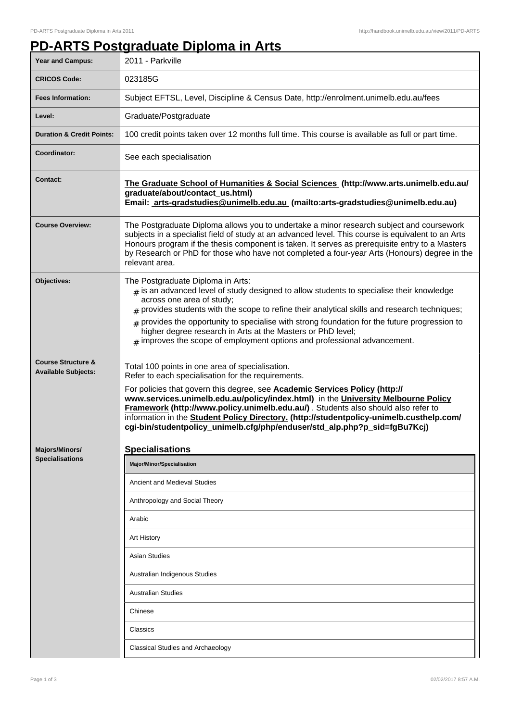## **PD-ARTS Postgraduate Diploma in Arts**

| <b>Year and Campus:</b>                                     | 2011 - Parkville                                                                                                                                                                                                                                                                                                                                                                                                                                                                                                                               |
|-------------------------------------------------------------|------------------------------------------------------------------------------------------------------------------------------------------------------------------------------------------------------------------------------------------------------------------------------------------------------------------------------------------------------------------------------------------------------------------------------------------------------------------------------------------------------------------------------------------------|
| <b>CRICOS Code:</b>                                         | 023185G                                                                                                                                                                                                                                                                                                                                                                                                                                                                                                                                        |
| <b>Fees Information:</b>                                    | Subject EFTSL, Level, Discipline & Census Date, http://enrolment.unimelb.edu.au/fees                                                                                                                                                                                                                                                                                                                                                                                                                                                           |
| Level:                                                      | Graduate/Postgraduate                                                                                                                                                                                                                                                                                                                                                                                                                                                                                                                          |
| <b>Duration &amp; Credit Points:</b>                        | 100 credit points taken over 12 months full time. This course is available as full or part time.                                                                                                                                                                                                                                                                                                                                                                                                                                               |
| Coordinator:                                                | See each specialisation                                                                                                                                                                                                                                                                                                                                                                                                                                                                                                                        |
| <b>Contact:</b>                                             | The Graduate School of Humanities & Social Sciences (http://www.arts.unimelb.edu.au/<br>graduate/about/contact_us.html)<br>Email: arts-gradstudies@unimelb.edu.au (mailto:arts-gradstudies@unimelb.edu.au)                                                                                                                                                                                                                                                                                                                                     |
| <b>Course Overview:</b>                                     | The Postgraduate Diploma allows you to undertake a minor research subject and coursework<br>subjects in a specialist field of study at an advanced level. This course is equivalent to an Arts<br>Honours program if the thesis component is taken. It serves as prerequisite entry to a Masters<br>by Research or PhD for those who have not completed a four-year Arts (Honours) degree in the<br>relevant area.                                                                                                                             |
| Objectives:                                                 | The Postgraduate Diploma in Arts:<br>$_{\text{\#}}$ is an advanced level of study designed to allow students to specialise their knowledge<br>across one area of study;<br>$#$ provides students with the scope to refine their analytical skills and research techniques;<br>$#$ provides the opportunity to specialise with strong foundation for the future progression to<br>higher degree research in Arts at the Masters or PhD level;<br>$#$ improves the scope of employment options and professional advancement.                     |
| <b>Course Structure &amp;</b><br><b>Available Subjects:</b> | Total 100 points in one area of specialisation.<br>Refer to each specialisation for the requirements.<br>For policies that govern this degree, see <b>Academic Services Policy (http://</b><br>www.services.unimelb.edu.au/policy/index.html) in the University Melbourne Policy<br>Framework (http://www.policy.unimelb.edu.au/). Students also should also refer to<br>information in the Student Policy Directory. (http://studentpolicy-unimelb.custhelp.com/<br>cgi-bin/studentpolicy_unimelb.cfg/php/enduser/std_alp.php?p_sid=fgBu7Kcj) |
| <b>Majors/Minors/</b>                                       | <b>Specialisations</b>                                                                                                                                                                                                                                                                                                                                                                                                                                                                                                                         |
| <b>Specialisations</b>                                      | Major/Minor/Specialisation                                                                                                                                                                                                                                                                                                                                                                                                                                                                                                                     |
|                                                             | Ancient and Medieval Studies                                                                                                                                                                                                                                                                                                                                                                                                                                                                                                                   |
|                                                             | Anthropology and Social Theory                                                                                                                                                                                                                                                                                                                                                                                                                                                                                                                 |
|                                                             | Arabic                                                                                                                                                                                                                                                                                                                                                                                                                                                                                                                                         |
|                                                             | Art History                                                                                                                                                                                                                                                                                                                                                                                                                                                                                                                                    |
|                                                             | <b>Asian Studies</b>                                                                                                                                                                                                                                                                                                                                                                                                                                                                                                                           |
|                                                             | Australian Indigenous Studies                                                                                                                                                                                                                                                                                                                                                                                                                                                                                                                  |
|                                                             | <b>Australian Studies</b>                                                                                                                                                                                                                                                                                                                                                                                                                                                                                                                      |
|                                                             | Chinese                                                                                                                                                                                                                                                                                                                                                                                                                                                                                                                                        |
|                                                             | Classics                                                                                                                                                                                                                                                                                                                                                                                                                                                                                                                                       |
|                                                             | <b>Classical Studies and Archaeology</b>                                                                                                                                                                                                                                                                                                                                                                                                                                                                                                       |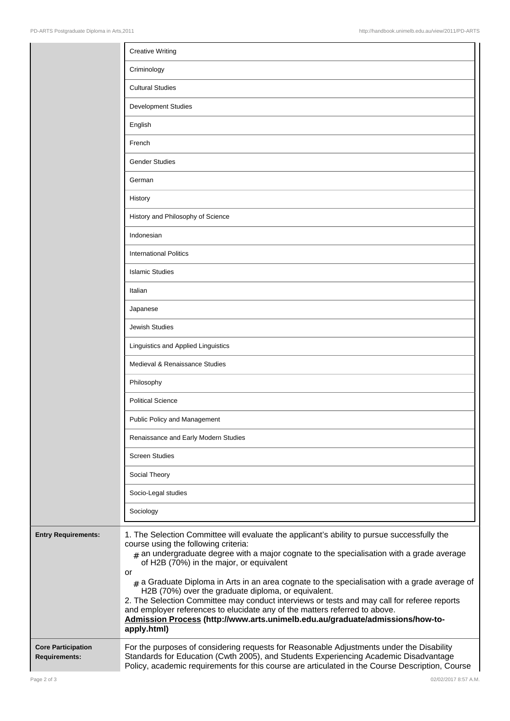|                                                   | <b>Creative Writing</b>                                                                                                                                                                                                                                                                                                                                                                                                                                                                                                                                                                                                                                                                                                     |
|---------------------------------------------------|-----------------------------------------------------------------------------------------------------------------------------------------------------------------------------------------------------------------------------------------------------------------------------------------------------------------------------------------------------------------------------------------------------------------------------------------------------------------------------------------------------------------------------------------------------------------------------------------------------------------------------------------------------------------------------------------------------------------------------|
|                                                   | Criminology                                                                                                                                                                                                                                                                                                                                                                                                                                                                                                                                                                                                                                                                                                                 |
|                                                   | <b>Cultural Studies</b>                                                                                                                                                                                                                                                                                                                                                                                                                                                                                                                                                                                                                                                                                                     |
|                                                   | <b>Development Studies</b>                                                                                                                                                                                                                                                                                                                                                                                                                                                                                                                                                                                                                                                                                                  |
|                                                   | English                                                                                                                                                                                                                                                                                                                                                                                                                                                                                                                                                                                                                                                                                                                     |
|                                                   | French                                                                                                                                                                                                                                                                                                                                                                                                                                                                                                                                                                                                                                                                                                                      |
|                                                   | <b>Gender Studies</b>                                                                                                                                                                                                                                                                                                                                                                                                                                                                                                                                                                                                                                                                                                       |
|                                                   | German                                                                                                                                                                                                                                                                                                                                                                                                                                                                                                                                                                                                                                                                                                                      |
|                                                   | History                                                                                                                                                                                                                                                                                                                                                                                                                                                                                                                                                                                                                                                                                                                     |
|                                                   | History and Philosophy of Science                                                                                                                                                                                                                                                                                                                                                                                                                                                                                                                                                                                                                                                                                           |
|                                                   | Indonesian                                                                                                                                                                                                                                                                                                                                                                                                                                                                                                                                                                                                                                                                                                                  |
|                                                   | <b>International Politics</b>                                                                                                                                                                                                                                                                                                                                                                                                                                                                                                                                                                                                                                                                                               |
|                                                   | <b>Islamic Studies</b>                                                                                                                                                                                                                                                                                                                                                                                                                                                                                                                                                                                                                                                                                                      |
|                                                   | Italian                                                                                                                                                                                                                                                                                                                                                                                                                                                                                                                                                                                                                                                                                                                     |
|                                                   | Japanese                                                                                                                                                                                                                                                                                                                                                                                                                                                                                                                                                                                                                                                                                                                    |
|                                                   | <b>Jewish Studies</b>                                                                                                                                                                                                                                                                                                                                                                                                                                                                                                                                                                                                                                                                                                       |
|                                                   | Linguistics and Applied Linguistics                                                                                                                                                                                                                                                                                                                                                                                                                                                                                                                                                                                                                                                                                         |
|                                                   | Medieval & Renaissance Studies                                                                                                                                                                                                                                                                                                                                                                                                                                                                                                                                                                                                                                                                                              |
|                                                   | Philosophy                                                                                                                                                                                                                                                                                                                                                                                                                                                                                                                                                                                                                                                                                                                  |
|                                                   | <b>Political Science</b>                                                                                                                                                                                                                                                                                                                                                                                                                                                                                                                                                                                                                                                                                                    |
|                                                   | Public Policy and Management                                                                                                                                                                                                                                                                                                                                                                                                                                                                                                                                                                                                                                                                                                |
|                                                   | Renaissance and Early Modern Studies                                                                                                                                                                                                                                                                                                                                                                                                                                                                                                                                                                                                                                                                                        |
|                                                   | <b>Screen Studies</b>                                                                                                                                                                                                                                                                                                                                                                                                                                                                                                                                                                                                                                                                                                       |
|                                                   | Social Theory                                                                                                                                                                                                                                                                                                                                                                                                                                                                                                                                                                                                                                                                                                               |
|                                                   | Socio-Legal studies                                                                                                                                                                                                                                                                                                                                                                                                                                                                                                                                                                                                                                                                                                         |
|                                                   | Sociology                                                                                                                                                                                                                                                                                                                                                                                                                                                                                                                                                                                                                                                                                                                   |
| <b>Entry Requirements:</b>                        | 1. The Selection Committee will evaluate the applicant's ability to pursue successfully the<br>course using the following criteria:<br>$#$ an undergraduate degree with a major cognate to the specialisation with a grade average<br>of H2B (70%) in the major, or equivalent<br>or<br>$#$ a Graduate Diploma in Arts in an area cognate to the specialisation with a grade average of<br>H2B (70%) over the graduate diploma, or equivalent.<br>2. The Selection Committee may conduct interviews or tests and may call for referee reports<br>and employer references to elucidate any of the matters referred to above.<br>Admission Process (http://www.arts.unimelb.edu.au/graduate/admissions/how-to-<br>apply.html) |
| <b>Core Participation</b><br><b>Requirements:</b> | For the purposes of considering requests for Reasonable Adjustments under the Disability<br>Standards for Education (Cwth 2005), and Students Experiencing Academic Disadvantage<br>Policy, academic requirements for this course are articulated in the Course Description, Course                                                                                                                                                                                                                                                                                                                                                                                                                                         |